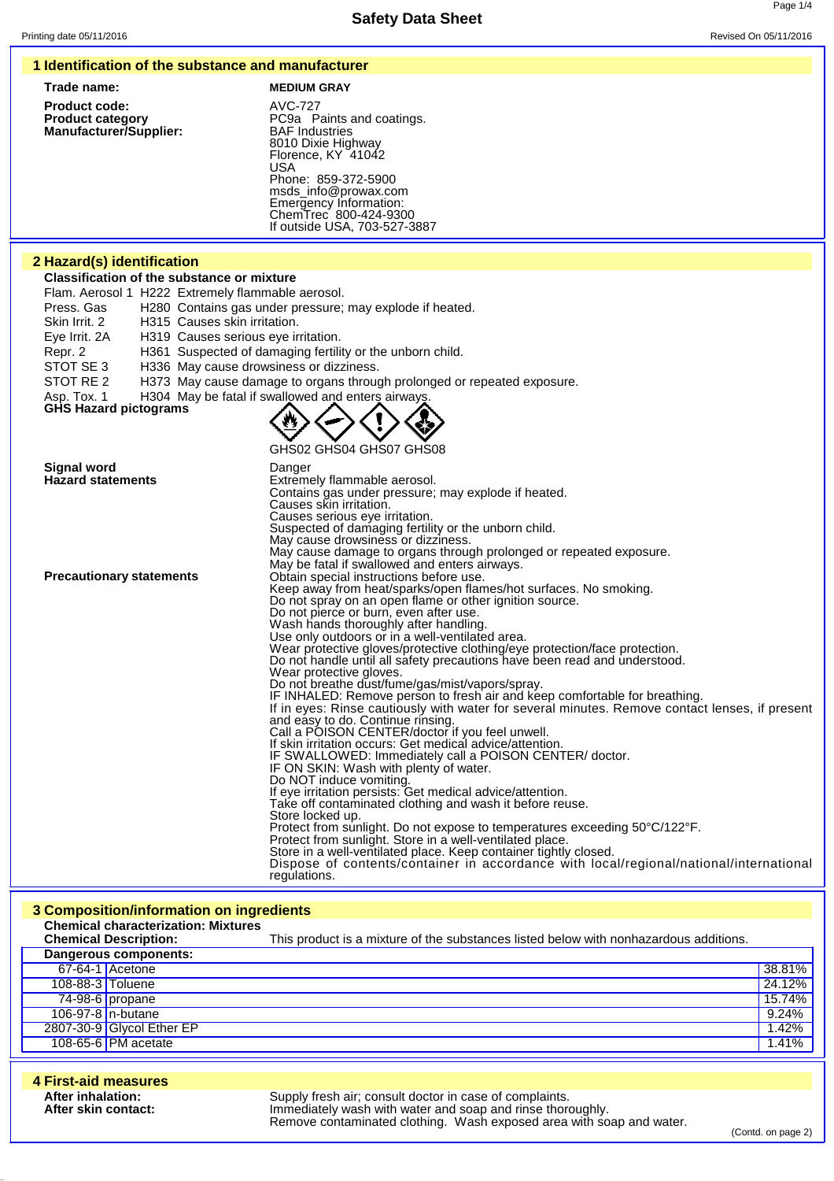### **1 Identification of the substance and manufacturer**

| Trade name:                   | <b>MEDIUM GRAY</b>    |
|-------------------------------|-----------------------|
| <b>Product code:</b>          | AVC-727               |
| <b>Product category</b>       | PC9a Paints           |
| <b>Manufacturer/Supplier:</b> | <b>BAF</b> Industries |

**Product code:** AVC-727 **Product category PC9a Paints and coatings.** 8010 Dixie Highway Florence, KY 41042 USA Phone: 859-372-5900 msds\_info@prowax.com Emergency Information: ChemTrec 800-424-9300 If outside USA, 703-527-3887

### **2 Hazard(s) identification**

**Classification of the substance or mixture**

Flam. Aerosol 1 H222 Extremely flammable aerosol.

Press. Gas H280 Contains gas under pressure; may explode if heated.

Skin Irrit. 2 H315 Causes skin irritation.

Eye Irrit. 2A H319 Causes serious eye irritation.

- Repr. 2 H361 Suspected of damaging fertility or the unborn child.<br>STOT SE 3 H336 May cause drowsiness or dizziness.
- H336 May cause drowsiness or dizziness.

STOT RE 2 H373 May cause damage to organs through prolonged or repeated exposure.

Asp. Tox. 1 H304 May be fatal if swallowed and enters airways

```
GHS Hazard pictograms
```


GHS02 GHS04 GHS07 GHS08

| <b>Signal word</b>              | Danger                                                                                         |
|---------------------------------|------------------------------------------------------------------------------------------------|
| <b>Hazard statements</b>        | Extremely flammable aerosol.                                                                   |
|                                 | Contains gas under pressure; may explode if heated.                                            |
|                                 | Causes skin irritation.                                                                        |
|                                 | Causes serious eye irritation.                                                                 |
|                                 | Suspected of damaging fertility or the unborn child.                                           |
|                                 | May cause drowsiness or dizziness.                                                             |
|                                 | May cause damage to organs through prolonged or repeated exposure.                             |
|                                 | May be fatal if swallowed and enters airways.                                                  |
| <b>Precautionary statements</b> | Obtain special instructions before use.                                                        |
|                                 | Keep away from heat/sparks/open flames/hot surfaces. No smoking.                               |
|                                 | Do not spray on an open flame or other ignition source.                                        |
|                                 | Do not pierce or burn, even after use.                                                         |
|                                 | Wash hands thoroughly after handling.                                                          |
|                                 | Use only outdoors or in a well-ventilated area.                                                |
|                                 | Wear protective gloves/protective clothing/eye protection/face protection.                     |
|                                 | Do not handle until all safety precautions have been read and understood.                      |
|                                 | Wear protective gloves.                                                                        |
|                                 | Do not breathe dust/fume/gas/mist/vapors/spray.                                                |
|                                 | IF INHALED: Remove person to fresh air and keep comfortable for breathing.                     |
|                                 | If in eyes: Rinse cautiously with water for several minutes. Remove contact lenses, if present |
|                                 | and easy to do. Continue rinsing.                                                              |
|                                 | Call a POISON CENTER/doctor if you feel unwell.                                                |
|                                 | If skin irritation occurs: Get medical advice/attention.                                       |
|                                 | IF SWALLOWED: Immediately call a POISON CENTER/ doctor.                                        |
|                                 | IF ON SKIN: Wash with plenty of water.                                                         |
|                                 | Do NOT induce vomiting.                                                                        |
|                                 | If eye irritation persists: Get medical advice/attention.                                      |
|                                 | Take off contaminated clothing and wash it before reuse.                                       |
|                                 | Store locked up.                                                                               |
|                                 | Protect from sunlight. Do not expose to temperatures exceeding 50°C/122°F.                     |
|                                 | Protect from sunlight. Store in a well-ventilated place.                                       |
|                                 | Store in a well-ventilated place. Keep container tightly closed.                               |
|                                 | Dispose of contents/container in accordance with local/regional/national/international         |
|                                 | regulations.                                                                                   |

### **3 Composition/information on ingredients**

|                  | <b>Chemical characterization: Mixtures</b><br><b>Chemical Description:</b> | This product is a mixture of the substances listed below with nonhazardous additions. |        |
|------------------|----------------------------------------------------------------------------|---------------------------------------------------------------------------------------|--------|
|                  | Dangerous components:                                                      |                                                                                       |        |
|                  | 67-64-1 Acetone                                                            |                                                                                       | 38.81% |
| 108-88-3 Toluene |                                                                            |                                                                                       | 24.12% |
|                  | $74-98-6$ propane                                                          |                                                                                       | 15.74% |
|                  | 106-97-8 n-butane                                                          |                                                                                       | 9.24%  |
|                  | 2807-30-9 Glycol Ether EP                                                  |                                                                                       | 1.42%  |
|                  | 108-65-6 PM acetate                                                        |                                                                                       | 1.41%  |

| 4 First-aid measures                     |                                                                                                                                                                                               |
|------------------------------------------|-----------------------------------------------------------------------------------------------------------------------------------------------------------------------------------------------|
| After inhalation:<br>After skin contact: | Supply fresh air; consult doctor in case of complaints.<br>Immediately wash with water and soap and rinse thoroughly.<br>Remove contaminated clothing. Wash exposed area with soap and water. |

(Contd. on page 2)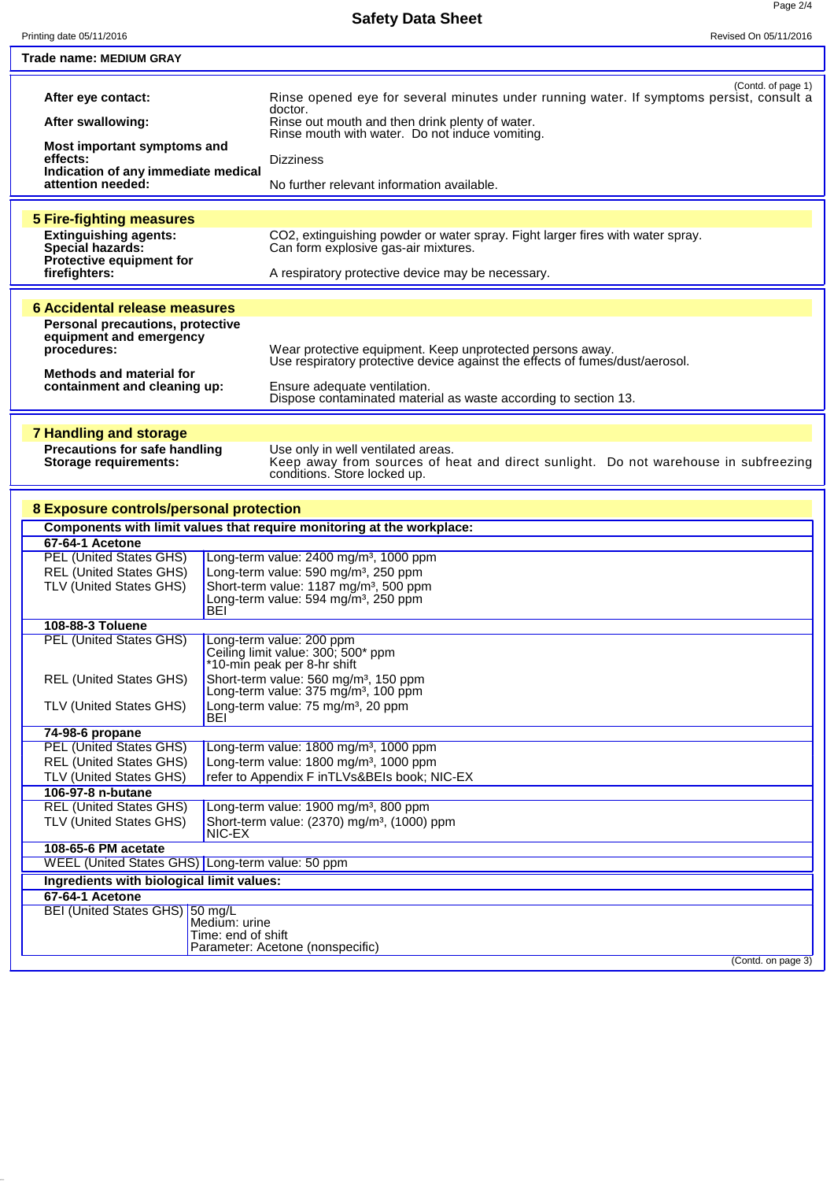| Printing date 05/11/2016                                           | Revised On 05/11/2016                                                                                                               |
|--------------------------------------------------------------------|-------------------------------------------------------------------------------------------------------------------------------------|
| Trade name: MEDIUM GRAY                                            |                                                                                                                                     |
|                                                                    |                                                                                                                                     |
| After eye contact:                                                 | (Contd. of page 1)<br>Rinse opened eye for several minutes under running water. If symptoms persist, consult a<br>doctor.           |
| After swallowing:                                                  | Rinse out mouth and then drink plenty of water.<br>Rinse mouth with water. Do not induce vomiting.                                  |
| Most important symptoms and<br>effects:                            | <b>Dizziness</b>                                                                                                                    |
| Indication of any immediate medical<br>attention needed:           | No further relevant information available.                                                                                          |
|                                                                    |                                                                                                                                     |
| <b>5 Fire-fighting measures</b>                                    |                                                                                                                                     |
| <b>Extinguishing agents:</b>                                       |                                                                                                                                     |
| Special hazards:                                                   | CO <sub>2</sub> , extinguishing powder or water spray. Fight larger fires with water spray.<br>Can form explosive gas-air mixtures. |
| Protective equipment for                                           |                                                                                                                                     |
| firefighters:                                                      | A respiratory protective device may be necessary.                                                                                   |
|                                                                    |                                                                                                                                     |
| 6 Accidental release measures                                      |                                                                                                                                     |
|                                                                    |                                                                                                                                     |
| <b>Personal precautions, protective</b><br>equipment and emergency |                                                                                                                                     |
| procedures:                                                        | Wear protective equipment. Keep unprotected persons away.                                                                           |
|                                                                    | Use respiratory protective device against the effects of fumes/dust/aerosol.                                                        |
| <b>Methods and material for</b>                                    |                                                                                                                                     |
| containment and cleaning up:                                       | Ensure adequate ventilation.                                                                                                        |
|                                                                    | Dispose contaminated material as waste according to section 13.                                                                     |
|                                                                    |                                                                                                                                     |
| <b>7 Handling and storage</b>                                      |                                                                                                                                     |
| <b>Precautions for safe handling</b>                               | Use only in well ventilated areas.                                                                                                  |
| <b>Storage requirements:</b>                                       | Keep away from sources of heat and direct sunlight. Do not warehouse in subfreezing                                                 |
|                                                                    | conditions. Store locked up.                                                                                                        |
|                                                                    |                                                                                                                                     |
| 8 Exposure controls/personal protection                            |                                                                                                                                     |
|                                                                    |                                                                                                                                     |
|                                                                    | Components with limit values that require monitoring at the workplace:                                                              |
| 67-64-1 Acetone                                                    |                                                                                                                                     |
| <b>PEL (United States GHS)</b>                                     | Long-term value: 2400 mg/m <sup>3</sup> , 1000 ppm                                                                                  |
| <b>REL (United States GHS)</b>                                     | Long-term value: 590 mg/m <sup>3</sup> , 250 ppm                                                                                    |
| TLV (United States GHS)                                            | Short-term value: 1187 mg/m <sup>3</sup> , 500 ppm                                                                                  |
| <b>BEI</b>                                                         | Long-term value: 594 mg/m <sup>3</sup> , 250 ppm                                                                                    |
| 108-88-3 Toluene                                                   |                                                                                                                                     |
| <b>PEL (United States GHS)</b>                                     | Long-term value: 200 ppm                                                                                                            |
|                                                                    | Ceiling limit value: 300; 500* ppm                                                                                                  |
|                                                                    | *10-min peak per 8-hr shift                                                                                                         |
| <b>REL (United States GHS)</b>                                     | Short-term value: 560 mg/m <sup>3</sup> , 150 ppm                                                                                   |
|                                                                    | Long-term value: 375 mg/m <sup>3</sup> , 100 ppm                                                                                    |
| <b>TLV (United States GHS)</b>                                     | Long-term value: 75 mg/m <sup>3</sup> , 20 ppm                                                                                      |
| BEI                                                                |                                                                                                                                     |
| 74-98-6 propane                                                    |                                                                                                                                     |
| <b>PEL (United States GHS)</b>                                     | Long-term value: 1800 mg/m <sup>3</sup> , 1000 ppm                                                                                  |
| <b>REL (United States GHS)</b>                                     | Long-term value: 1800 mg/m <sup>3</sup> , 1000 ppm                                                                                  |
| TLV (United States GHS)                                            | refer to Appendix F inTLVs&BEIs book; NIC-EX                                                                                        |
| 106-97-8 n-butane                                                  |                                                                                                                                     |
| <b>REL (United States GHS)</b>                                     | Long-term value: 1900 mg/m <sup>3</sup> , 800 ppm                                                                                   |
| TLV (United States GHS)                                            | Short-term value: (2370) mg/m <sup>3</sup> , (1000) ppm                                                                             |
| NIC-EX                                                             |                                                                                                                                     |
| 108-65-6 PM acetate                                                |                                                                                                                                     |
| WEEL (United States GHS) Long-term value: 50 ppm                   |                                                                                                                                     |
| Ingredients with biological limit values:                          |                                                                                                                                     |
| 67-64-1 Acetone                                                    |                                                                                                                                     |
| BEI (United States GHS) 50 mg/L                                    |                                                                                                                                     |
| Medium: urine                                                      | Time: end of shift                                                                                                                  |
|                                                                    | Parameter: Acetone (nonspecific)                                                                                                    |
|                                                                    | (Contd. on page 3)                                                                                                                  |
|                                                                    |                                                                                                                                     |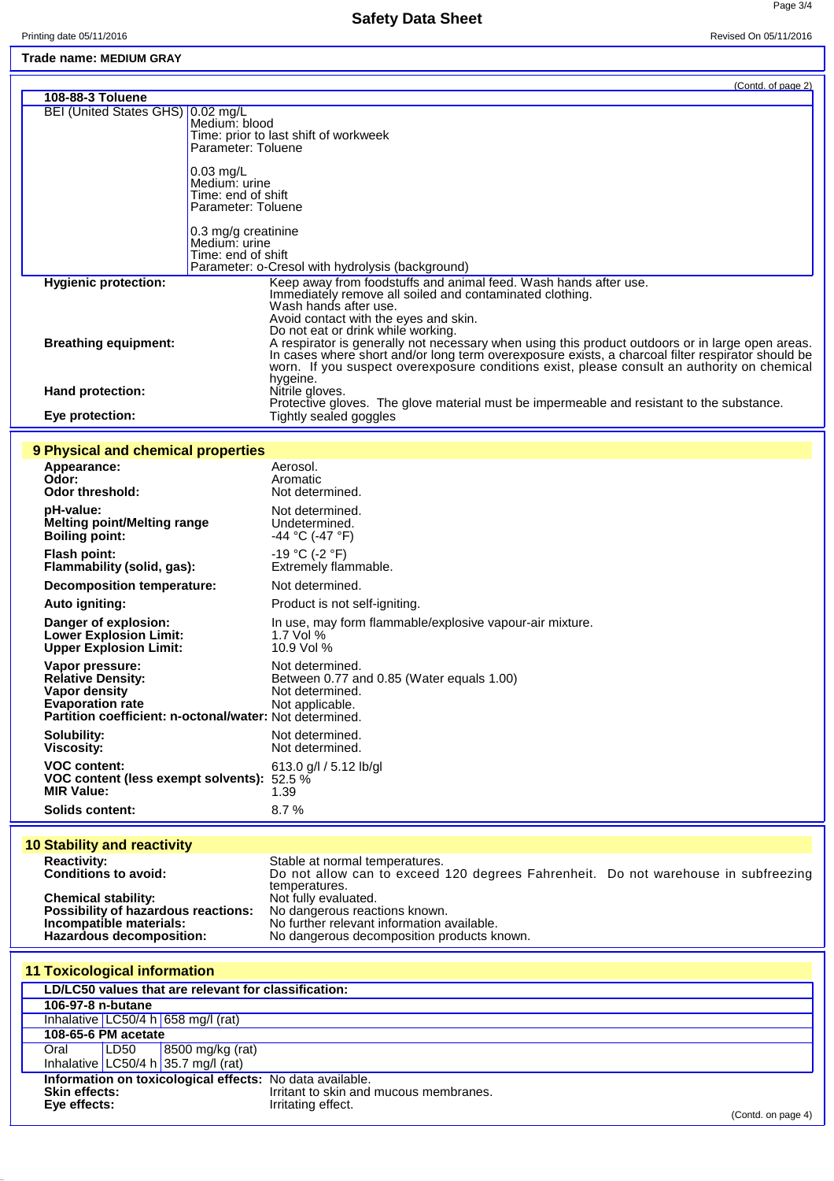## **Safety Data Sheet**

Printing date 05/11/2016 Revised On 05/11/2016

Page 3/4

**Trade name: MEDIUM GRAY**

|                                     | (Contd. of page 2)                                                                                                                                                                                                                                                                                            |
|-------------------------------------|---------------------------------------------------------------------------------------------------------------------------------------------------------------------------------------------------------------------------------------------------------------------------------------------------------------|
| 108-88-3 Toluene                    |                                                                                                                                                                                                                                                                                                               |
| BEI (United States GHS)   0.02 mg/L | Medium: blood<br>Time: prior to last shift of workweek<br>Parameter: Toluene                                                                                                                                                                                                                                  |
|                                     | $0.03$ mg/L<br>Medium: urine<br>Time: end of shift<br>Parameter: Toluene                                                                                                                                                                                                                                      |
|                                     | 0.3 mg/g creatinine<br>Medium: urine<br>Time: end of shift<br>Parameter: o-Cresol with hydrolysis (background)                                                                                                                                                                                                |
| <b>Hygienic protection:</b>         | Keep away from foodstuffs and animal feed. Wash hands after use.<br>Immediately remove all soiled and contaminated clothing.<br>Wash hands after use.<br>Avoid contact with the eyes and skin.<br>Do not eat or drink while working.                                                                          |
| <b>Breathing equipment:</b>         | A respirator is generally not necessary when using this product outdoors or in large open areas. In cases where short and/or long term overexposure exists, a charcoal filter respirator should be<br>worn. If you suspect overexposure conditions exist, please consult an authority on chemical<br>hygeine. |
| <b>Hand protection:</b>             | Nitrile gloves.<br>Protective gloves. The glove material must be impermeable and resistant to the substance.                                                                                                                                                                                                  |
| Eye protection:                     | Tightly sealed goggles                                                                                                                                                                                                                                                                                        |

### **9 Physical and chemical properties**

| <u>J Filiyaldan dilu chemical properties</u>                                                                                                       |                                                                                                    |
|----------------------------------------------------------------------------------------------------------------------------------------------------|----------------------------------------------------------------------------------------------------|
| Appearance:<br>Odor:<br><b>Odor threshold:</b>                                                                                                     | Aerosol.<br>Aromatic<br>Not determined.                                                            |
| pH-value:<br>Melting point/Melting range<br><b>Boiling point:</b>                                                                                  | Not determined.<br>Undetermined.<br>$-44$ °C (-47 °F)                                              |
| <b>Flash point:</b><br>Flammability (solid, gas):                                                                                                  | $-19 °C$ (-2 $°F$ )<br>Extremely flammable.                                                        |
| Decomposition temperature:                                                                                                                         | Not determined.                                                                                    |
| <b>Auto igniting:</b>                                                                                                                              | Product is not self-igniting.                                                                      |
| Danger of explosion:<br><b>Lower Explosion Limit:</b><br><b>Upper Explosion Limit:</b>                                                             | In use, may form flammable/explosive vapour-air mixture.<br>1.7 Vol $%$<br>10.9 Vol %              |
| Vapor pressure:<br><b>Relative Density:</b><br>Vapor density<br><b>Evaporation rate</b><br>Partition coefficient: n-octonal/water: Not determined. | Not determined.<br>Between 0.77 and 0.85 (Water equals 1.00)<br>Not determined.<br>Not applicable. |
| Solubility:<br><b>Viscosity:</b>                                                                                                                   | Not determined.<br>Not determined.                                                                 |
| <b>VOC content:</b><br>VOC content (less exempt solvents):<br><b>MIR Value:</b>                                                                    | 613.0 g/l / 5.12 lb/gl<br>52.5 %<br>1.39                                                           |
| <b>Solids content:</b>                                                                                                                             | 8.7%                                                                                               |
|                                                                                                                                                    |                                                                                                    |

# **10 Stability and reactivity**

| <b>Reactivity:</b>                  | Stable at normal temperatures.                                                     |  |
|-------------------------------------|------------------------------------------------------------------------------------|--|
| <b>Conditions to avoid:</b>         | Do not allow can to exceed 120 degrees Fahrenheit. Do not warehouse in subfreezing |  |
|                                     | temperatures.                                                                      |  |
| <b>Chemical stability:</b>          | Not fully evaluated.                                                               |  |
| Possibility of hazardous reactions: | No dangerous reactions known.                                                      |  |
| Incompatible materials:             | No further relevant information available.                                         |  |
| Hazardous decomposition:            | No dangerous decomposition products known.                                         |  |

| <b>11 Toxicological information</b>                      |                                                      |                                        |                                        |                    |
|----------------------------------------------------------|------------------------------------------------------|----------------------------------------|----------------------------------------|--------------------|
|                                                          | LD/LC50 values that are relevant for classification: |                                        |                                        |                    |
|                                                          | 106-97-8 n-butane                                    |                                        |                                        |                    |
|                                                          |                                                      | Inhalative $LC50/4 h   658 mg/1 (rat)$ |                                        |                    |
|                                                          | 108-65-6 PM acetate                                  |                                        |                                        |                    |
| Oral                                                     | LD50                                                 | $\vert$ 8500 mg/kg (rat)               |                                        |                    |
|                                                          |                                                      | Inhalative LC50/4 h 35.7 mg/l (rat)    |                                        |                    |
| Information on toxicological effects: No data available. |                                                      |                                        |                                        |                    |
| <b>Skin effects:</b>                                     |                                                      |                                        | Irritant to skin and mucous membranes. |                    |
| Eye effects:                                             |                                                      |                                        | Irritating effect.                     | (Contd. on page 4) |